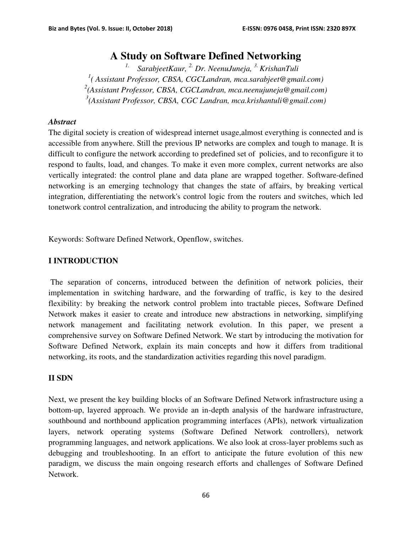# **A Study on Software Defined Networking**

*1. SarabjeetKaur, 2. Dr. NeenuJuneja, 3. KrishanTuli ( Assistant Professor, CBSA, CGCLandran, mca.sarabjeet@gmail.com) (Assistant Professor, CBSA, CGCLandran, mca.neenujuneja@gmail.com) (Assistant Professor, CBSA, CGC Landran, mca.krishantuli@gmail.com)* 

#### *Abstract*

The digital society is creation of widespread internet usage,almost everything is connected and is accessible from anywhere. Still the previous IP networks are complex and tough to manage. It is difficult to configure the network according to predefined set of policies, and to reconfigure it to respond to faults, load, and changes. To make it even more complex, current networks are also vertically integrated: the control plane and data plane are wrapped together. Software-defined networking is an emerging technology that changes the state of affairs, by breaking vertical integration, differentiating the network's control logic from the routers and switches, which led tonetwork control centralization, and introducing the ability to program the network.

Keywords: Software Defined Network, Openflow, switches.

## **I INTRODUCTION**

 The separation of concerns, introduced between the definition of network policies, their implementation in switching hardware, and the forwarding of traffic, is key to the desired flexibility: by breaking the network control problem into tractable pieces, Software Defined Network makes it easier to create and introduce new abstractions in networking, simplifying network management and facilitating network evolution. In this paper, we present a comprehensive survey on Software Defined Network. We start by introducing the motivation for Software Defined Network, explain its main concepts and how it differs from traditional networking, its roots, and the standardization activities regarding this novel paradigm.

## **II SDN**

Next, we present the key building blocks of an Software Defined Network infrastructure using a bottom-up, layered approach. We provide an in-depth analysis of the hardware infrastructure, southbound and northbound application programming interfaces (APIs), network virtualization layers, network operating systems (Software Defined Network controllers), network programming languages, and network applications. We also look at cross-layer problems such as debugging and troubleshooting. In an effort to anticipate the future evolution of this new paradigm, we discuss the main ongoing research efforts and challenges of Software Defined Network.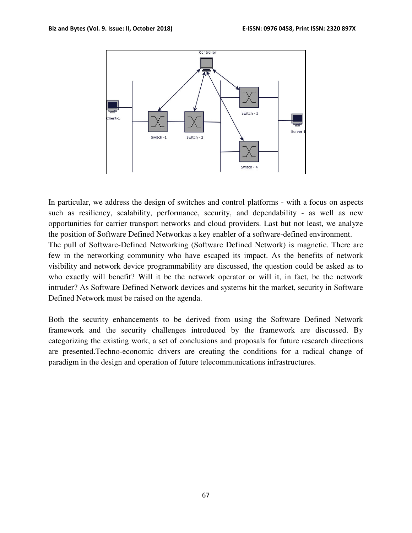

In particular, we address the design of switches and control platforms - with a focus on aspects such as resiliency, scalability, performance, security, and dependability - as well as new opportunities for carrier transport networks and cloud providers. Last but not least, we analyze the position of Software Defined Networkas a key enabler of a software-defined environment. The pull of Software-Defined Networking (Software Defined Network) is magnetic. There are few in the networking community who have escaped its impact. As the benefits of network visibility and network device programmability are discussed, the question could be asked as to who exactly will benefit? Will it be the network operator or will it, in fact, be the network intruder? As Software Defined Network devices and systems hit the market, security in Software Defined Network must be raised on the agenda.

Both the security enhancements to be derived from using the Software Defined Network framework and the security challenges introduced by the framework are discussed. By categorizing the existing work, a set of conclusions and proposals for future research directions are presented.Techno-economic drivers are creating the conditions for a radical change of paradigm in the design and operation of future telecommunications infrastructures.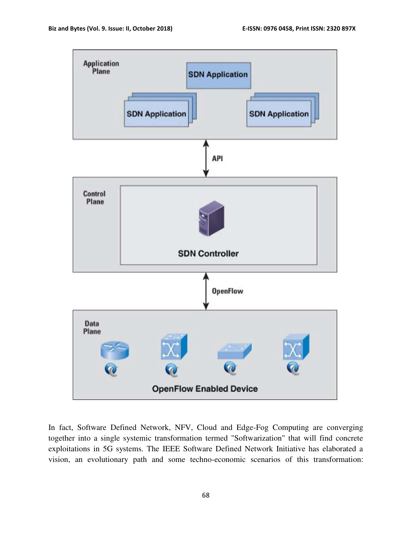

In fact, Software Defined Network, NFV, Cloud and Edge-Fog Computing are converging together into a single systemic transformation termed "Softwarization" that will find concrete exploitations in 5G systems. The IEEE Software Defined Network Initiative has elaborated a vision, an evolutionary path and some techno-economic scenarios of this transformation: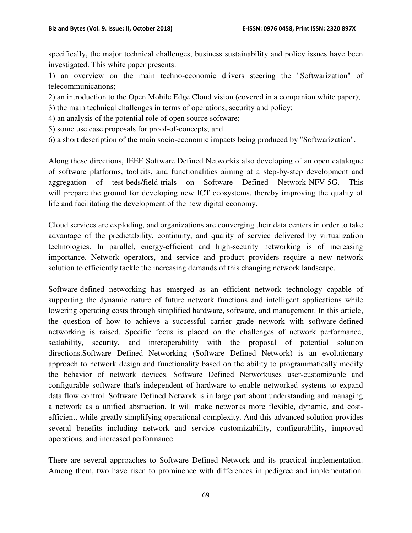specifically, the major technical challenges, business sustainability and policy issues have been investigated. This white paper presents:

1) an overview on the main techno-economic drivers steering the "Softwarization" of telecommunications;

2) an introduction to the Open Mobile Edge Cloud vision (covered in a companion white paper);

3) the main technical challenges in terms of operations, security and policy;

4) an analysis of the potential role of open source software;

5) some use case proposals for proof-of-concepts; and

6) a short description of the main socio-economic impacts being produced by "Softwarization".

Along these directions, IEEE Software Defined Networkis also developing of an open catalogue of software platforms, toolkits, and functionalities aiming at a step-by-step development and aggregation of test-beds/field-trials on Software Defined Network-NFV-5G. This will prepare the ground for developing new ICT ecosystems, thereby improving the quality of life and facilitating the development of the new digital economy.

Cloud services are exploding, and organizations are converging their data centers in order to take advantage of the predictability, continuity, and quality of service delivered by virtualization technologies. In parallel, energy-efficient and high-security networking is of increasing importance. Network operators, and service and product providers require a new network solution to efficiently tackle the increasing demands of this changing network landscape.

Software-defined networking has emerged as an efficient network technology capable of supporting the dynamic nature of future network functions and intelligent applications while lowering operating costs through simplified hardware, software, and management. In this article, the question of how to achieve a successful carrier grade network with software-defined networking is raised. Specific focus is placed on the challenges of network performance, scalability, security, and interoperability with the proposal of potential solution directions.Software Defined Networking (Software Defined Network) is an evolutionary approach to network design and functionality based on the ability to programmatically modify the behavior of network devices. Software Defined Networkuses user-customizable and configurable software that's independent of hardware to enable networked systems to expand data flow control. Software Defined Network is in large part about understanding and managing a network as a unified abstraction. It will make networks more flexible, dynamic, and costefficient, while greatly simplifying operational complexity. And this advanced solution provides several benefits including network and service customizability, configurability, improved operations, and increased performance.

There are several approaches to Software Defined Network and its practical implementation. Among them, two have risen to prominence with differences in pedigree and implementation.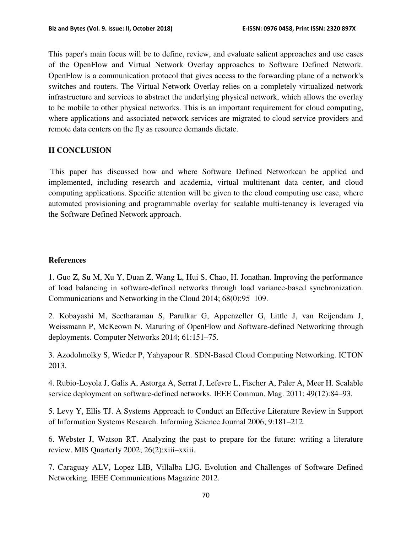This paper's main focus will be to define, review, and evaluate salient approaches and use cases of the OpenFlow and Virtual Network Overlay approaches to Software Defined Network. OpenFlow is a communication protocol that gives access to the forwarding plane of a network's switches and routers. The Virtual Network Overlay relies on a completely virtualized network infrastructure and services to abstract the underlying physical network, which allows the overlay to be mobile to other physical networks. This is an important requirement for cloud computing, where applications and associated network services are migrated to cloud service providers and remote data centers on the fly as resource demands dictate.

#### **II CONCLUSION**

 This paper has discussed how and where Software Defined Networkcan be applied and implemented, including research and academia, virtual multitenant data center, and cloud computing applications. Specific attention will be given to the cloud computing use case, where automated provisioning and programmable overlay for scalable multi-tenancy is leveraged via the Software Defined Network approach.

#### **References**

1. Guo Z, Su M, Xu Y, Duan Z, Wang L, Hui S, Chao, H. Jonathan. Improving the performance of load balancing in software-defined networks through load variance-based synchronization. Communications and Networking in the Cloud 2014; 68(0):95–109.

2. Kobayashi M, Seetharaman S, Parulkar G, Appenzeller G, Little J, van Reijendam J, Weissmann P, McKeown N. Maturing of OpenFlow and Software-defined Networking through deployments. Computer Networks 2014; 61:151–75.

3. Azodolmolky S, Wieder P, Yahyapour R. SDN-Based Cloud Computing Networking. ICTON 2013.

4. Rubio-Loyola J, Galis A, Astorga A, Serrat J, Lefevre L, Fischer A, Paler A, Meer H. Scalable service deployment on software-defined networks. IEEE Commun. Mag. 2011; 49(12):84–93.

5. Levy Y, Ellis TJ. A Systems Approach to Conduct an Effective Literature Review in Support of Information Systems Research. Informing Science Journal 2006; 9:181–212.

6. Webster J, Watson RT. Analyzing the past to prepare for the future: writing a literature review. MIS Quarterly 2002; 26(2):xiii–xxiii.

7. Caraguay ALV, Lopez LIB, Villalba LJG. Evolution and Challenges of Software Defined Networking. IEEE Communications Magazine 2012.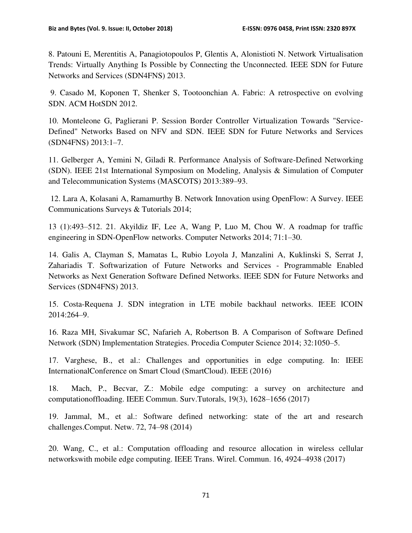8. Patouni E, Merentitis A, Panagiotopoulos P, Glentis A, Alonistioti N. Network Virtualisation Trends: Virtually Anything Is Possible by Connecting the Unconnected. IEEE SDN for Future Networks and Services (SDN4FNS) 2013.

 9. Casado M, Koponen T, Shenker S, Tootoonchian A. Fabric: A retrospective on evolving SDN. ACM HotSDN 2012.

10. Monteleone G, Paglierani P. Session Border Controller Virtualization Towards "Service-Defined" Networks Based on NFV and SDN. IEEE SDN for Future Networks and Services (SDN4FNS) 2013:1–7.

11. Gelberger A, Yemini N, Giladi R. Performance Analysis of Software-Defined Networking (SDN). IEEE 21st International Symposium on Modeling, Analysis & Simulation of Computer and Telecommunication Systems (MASCOTS) 2013:389–93.

 12. Lara A, Kolasani A, Ramamurthy B. Network Innovation using OpenFlow: A Survey. IEEE Communications Surveys & Tutorials 2014;

13 (1):493–512. 21. Akyildiz IF, Lee A, Wang P, Luo M, Chou W. A roadmap for traffic engineering in SDN-OpenFlow networks. Computer Networks 2014; 71:1–30.

14. Galis A, Clayman S, Mamatas L, Rubio Loyola J, Manzalini A, Kuklinski S, Serrat J, Zahariadis T. Softwarization of Future Networks and Services - Programmable Enabled Networks as Next Generation Software Defined Networks. IEEE SDN for Future Networks and Services (SDN4FNS) 2013.

15. Costa-Requena J. SDN integration in LTE mobile backhaul networks. IEEE ICOIN 2014:264–9.

16. Raza MH, Sivakumar SC, Nafarieh A, Robertson B. A Comparison of Software Defined Network (SDN) Implementation Strategies. Procedia Computer Science 2014; 32:1050–5.

17. Varghese, B., et al.: Challenges and opportunities in edge computing. In: IEEE InternationalConference on Smart Cloud (SmartCloud). IEEE (2016)

18. Mach, P., Becvar, Z.: Mobile edge computing: a survey on architecture and computationoffloading. IEEE Commun. Surv.Tutorals, 19(3), 1628–1656 (2017)

19. Jammal, M., et al.: Software defined networking: state of the art and research challenges.Comput. Netw. 72, 74–98 (2014)

20. Wang, C., et al.: Computation offloading and resource allocation in wireless cellular networkswith mobile edge computing. IEEE Trans. Wirel. Commun. 16, 4924–4938 (2017)